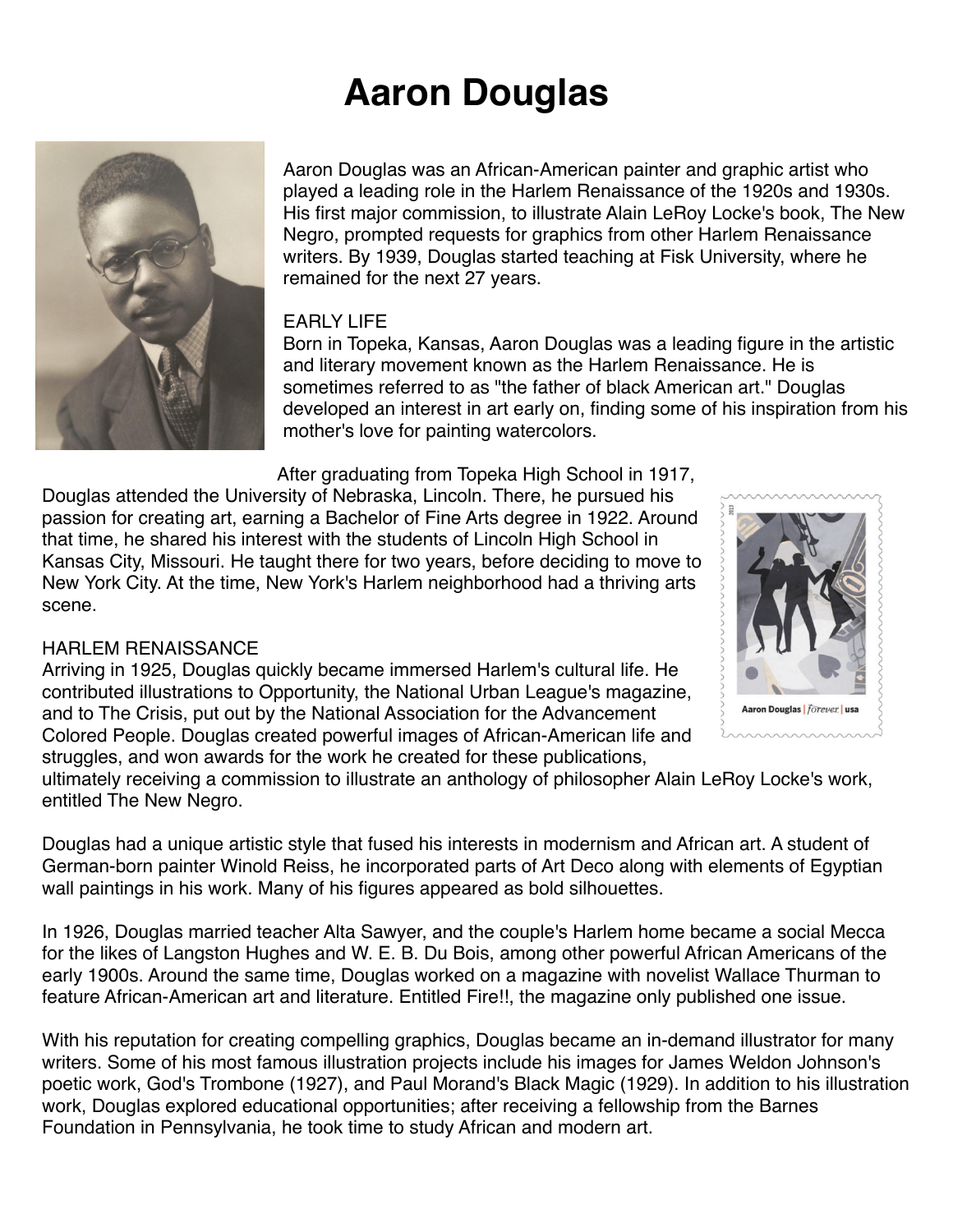# **Aaron Douglas**



Aaron Douglas was an African-American painter and graphic artist who played a leading role in the Harlem Renaissance of the 1920s and 1930s. His first major commission, to illustrate Alain LeRoy Locke's book, The New Negro, prompted requests for graphics from other Harlem Renaissance writers. By 1939, Douglas started teaching at Fisk University, where he remained for the next 27 years.

# EARLY LIFE

Born in Topeka, Kansas, Aaron Douglas was a leading figure in the artistic and literary movement known as the Harlem Renaissance. He is sometimes referred to as "the father of black American art." Douglas developed an interest in art early on, finding some of his inspiration from his mother's love for painting watercolors.

After graduating from Topeka High School in 1917,

Douglas attended the University of Nebraska, Lincoln. There, he pursued his passion for creating art, earning a Bachelor of Fine Arts degree in 1922. Around that time, he shared his interest with the students of Lincoln High School in Kansas City, Missouri. He taught there for two years, before deciding to move to New York City. At the time, New York's Harlem neighborhood had a thriving arts scene.

### HARLEM RENAISSANCE

Arriving in 1925, Douglas quickly became immersed Harlem's cultural life. He contributed illustrations to Opportunity, the National Urban League's magazine, and to The Crisis, put out by the National Association for the Advancement Colored People. Douglas created powerful images of African-American life and struggles, and won awards for the work he created for these publications,



ultimately receiving a commission to illustrate an anthology of philosopher Alain LeRoy Locke's work, entitled The New Negro.

Douglas had a unique artistic style that fused his interests in modernism and African art. A student of German-born painter Winold Reiss, he incorporated parts of Art Deco along with elements of Egyptian wall paintings in his work. Many of his figures appeared as bold silhouettes.

In 1926, Douglas married teacher Alta Sawyer, and the couple's Harlem home became a social Mecca for the likes of Langston Hughes and W. E. B. Du Bois, among other powerful African Americans of the early 1900s. Around the same time, Douglas worked on a magazine with novelist Wallace Thurman to feature African-American art and literature. Entitled Fire!!, the magazine only published one issue.

With his reputation for creating compelling graphics, Douglas became an in-demand illustrator for many writers. Some of his most famous illustration projects include his images for James Weldon Johnson's poetic work, God's Trombone (1927), and Paul Morand's Black Magic (1929). In addition to his illustration work, Douglas explored educational opportunities; after receiving a fellowship from the Barnes Foundation in Pennsylvania, he took time to study African and modern art.